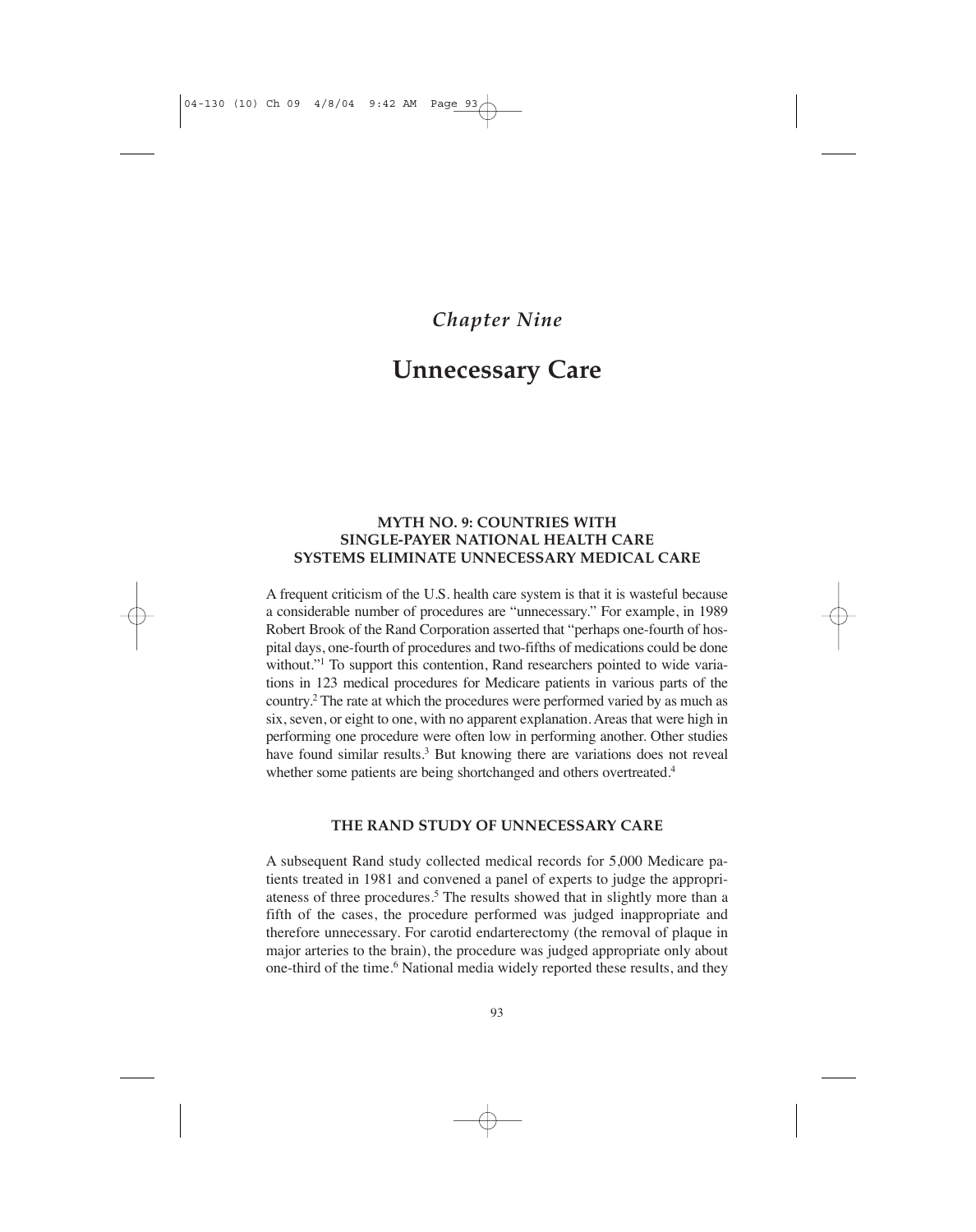# **Unnecessary Care**

## **MYTH NO. 9: COUNTRIES WITH SINGLE-PAYER NATIONAL HEALTH CARE SYSTEMS ELIMINATE UNNECESSARY MEDICAL CARE**

A frequent criticism of the U.S. health care system is that it is wasteful because a considerable number of procedures are "unnecessary." For example, in 1989 Robert Brook of the Rand Corporation asserted that "perhaps one-fourth of hospital days, one-fourth of procedures and two-fifths of medications could be done without."<sup>1</sup> To support this contention, Rand researchers pointed to wide variations in 123 medical procedures for Medicare patients in various parts of the country.2 The rate at which the procedures were performed varied by as much as six, seven, or eight to one, with no apparent explanation. Areas that were high in performing one procedure were often low in performing another. Other studies have found similar results.<sup>3</sup> But knowing there are variations does not reveal whether some patients are being shortchanged and others overtreated.<sup>4</sup>

## **THE RAND STUDY OF UNNECESSARY CARE**

A subsequent Rand study collected medical records for 5,000 Medicare patients treated in 1981 and convened a panel of experts to judge the appropriateness of three procedures.5 The results showed that in slightly more than a fifth of the cases, the procedure performed was judged inappropriate and therefore unnecessary. For carotid endarterectomy (the removal of plaque in major arteries to the brain), the procedure was judged appropriate only about one-third of the time.<sup>6</sup> National media widely reported these results, and they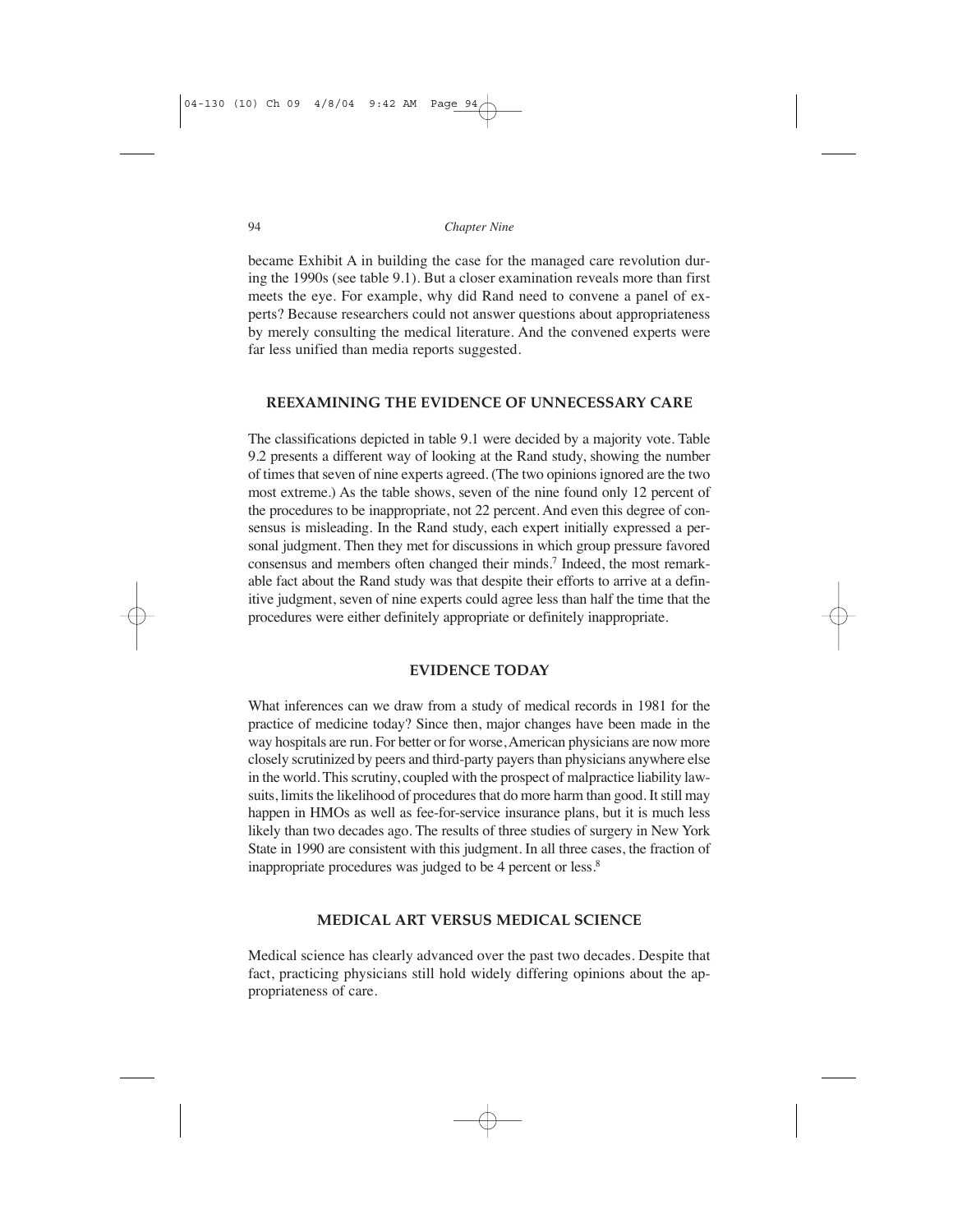became Exhibit A in building the case for the managed care revolution during the 1990s (see table 9.1). But a closer examination reveals more than first meets the eye. For example, why did Rand need to convene a panel of experts? Because researchers could not answer questions about appropriateness by merely consulting the medical literature. And the convened experts were far less unified than media reports suggested.

## **REEXAMINING THE EVIDENCE OF UNNECESSARY CARE**

The classifications depicted in table 9.1 were decided by a majority vote. Table 9.2 presents a different way of looking at the Rand study, showing the number of times that seven of nine experts agreed. (The two opinions ignored are the two most extreme.) As the table shows, seven of the nine found only 12 percent of the procedures to be inappropriate, not 22 percent. And even this degree of consensus is misleading. In the Rand study, each expert initially expressed a personal judgment. Then they met for discussions in which group pressure favored consensus and members often changed their minds.7 Indeed, the most remarkable fact about the Rand study was that despite their efforts to arrive at a definitive judgment, seven of nine experts could agree less than half the time that the procedures were either definitely appropriate or definitely inappropriate.

## **EVIDENCE TODAY**

What inferences can we draw from a study of medical records in 1981 for the practice of medicine today? Since then, major changes have been made in the way hospitals are run. For better or for worse, American physicians are now more closely scrutinized by peers and third-party payers than physicians anywhere else in the world. This scrutiny, coupled with the prospect of malpractice liability lawsuits, limits the likelihood of procedures that do more harm than good. It still may happen in HMOs as well as fee-for-service insurance plans, but it is much less likely than two decades ago. The results of three studies of surgery in New York State in 1990 are consistent with this judgment. In all three cases, the fraction of inappropriate procedures was judged to be 4 percent or less.<sup>8</sup>

## **MEDICAL ART VERSUS MEDICAL SCIENCE**

Medical science has clearly advanced over the past two decades. Despite that fact, practicing physicians still hold widely differing opinions about the appropriateness of care.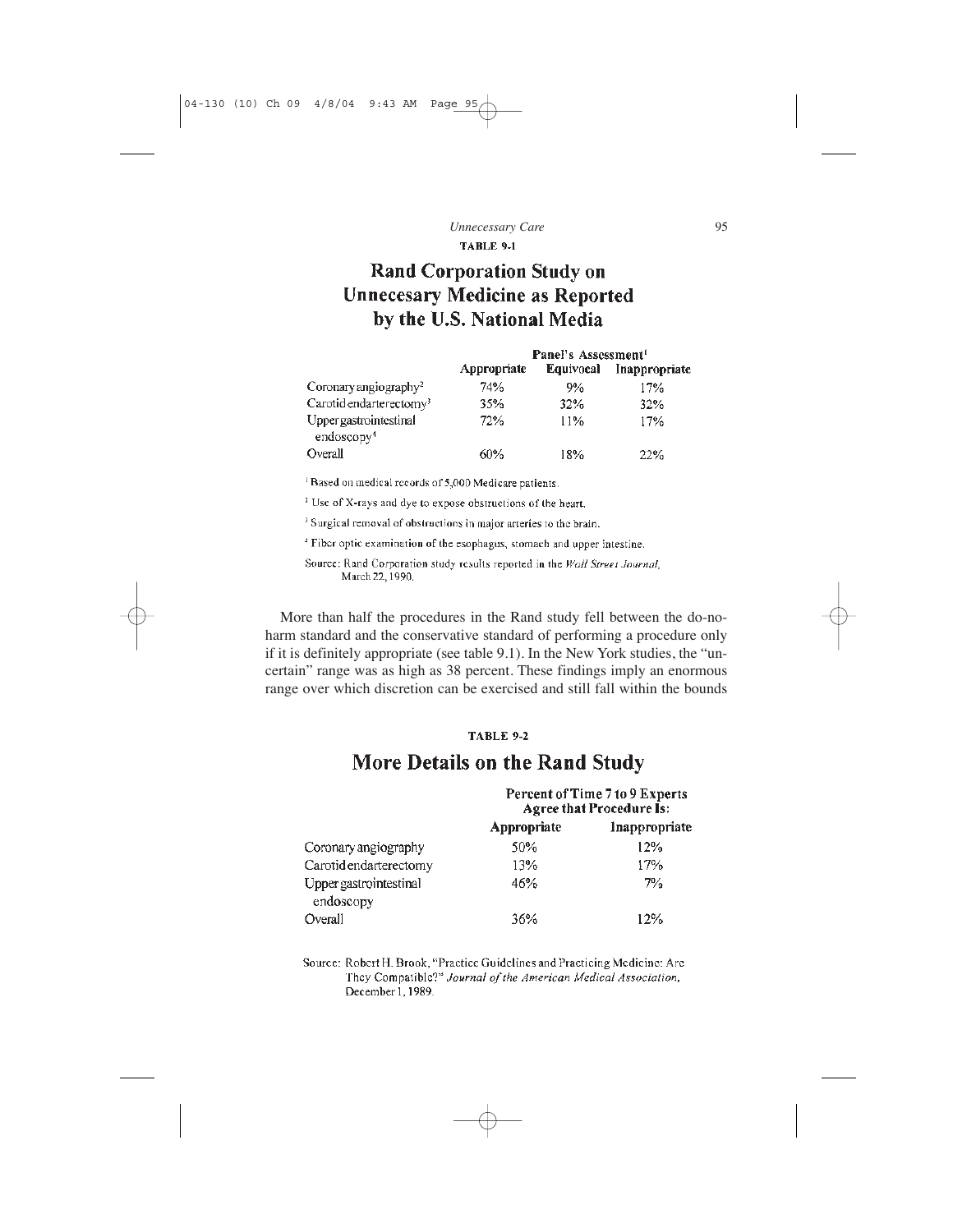*Unnecessary Care* 95 TABLE 9-1

## **Rand Corporation Study on Unnecesary Medicine as Reported** by the U.S. National Media

|                                                  | Panel's Assessment <sup>1</sup> |           |               |
|--------------------------------------------------|---------------------------------|-----------|---------------|
|                                                  | Appropriate                     | Equivocal | Inappropriate |
| Coronary angiography <sup>2</sup>                | 74%                             | 9%        | 17%           |
| Carotidendarterectomy <sup>3</sup>               | 35%                             | 32%       | 32%           |
| Upper gastrointestinal<br>endoscopy <sup>4</sup> | 72%                             | 11%       | 17%           |
| Overall                                          | 60%                             | 18%       | 22%           |

<sup>1</sup> Based on medical records of 5,000 Medicare patients.

<sup>2</sup> Use of X-rays and dye to expose obstructions of the heart.

<sup>3</sup> Surgical removal of obstructions in major arteries to the brain.

<sup>4</sup> Fiber optic examination of the esophagus, stomach and upper intestine.

Source: Rand Corporation study results reported in the Wall Street Journal, March 22, 1990.

More than half the procedures in the Rand study fell between the do-noharm standard and the conservative standard of performing a procedure only if it is definitely appropriate (see table 9.1). In the New York studies, the "uncertain" range was as high as 38 percent. These findings imply an enormous range over which discretion can be exercised and still fall within the bounds

## TABLE 9-2

## More Details on the Rand Study

|                                     | Percent of Time 7 to 9 Experts<br>Agree that Procedure Is: |               |
|-------------------------------------|------------------------------------------------------------|---------------|
|                                     | Appropriate                                                | Inappropriate |
| Coronary angiography                | 50%                                                        | 12%           |
| Carotid endarterectomy              | 13%                                                        | 17%           |
| Upper gastrointestinal<br>endoscopy | 46%                                                        | 7%            |
| Overall                             | 36%                                                        | 12%           |

Source: Robert H. Brook, "Practice Guidelines and Practicing Medicine: Are They Compatible?" Journal of the American Medical Association, December 1, 1989.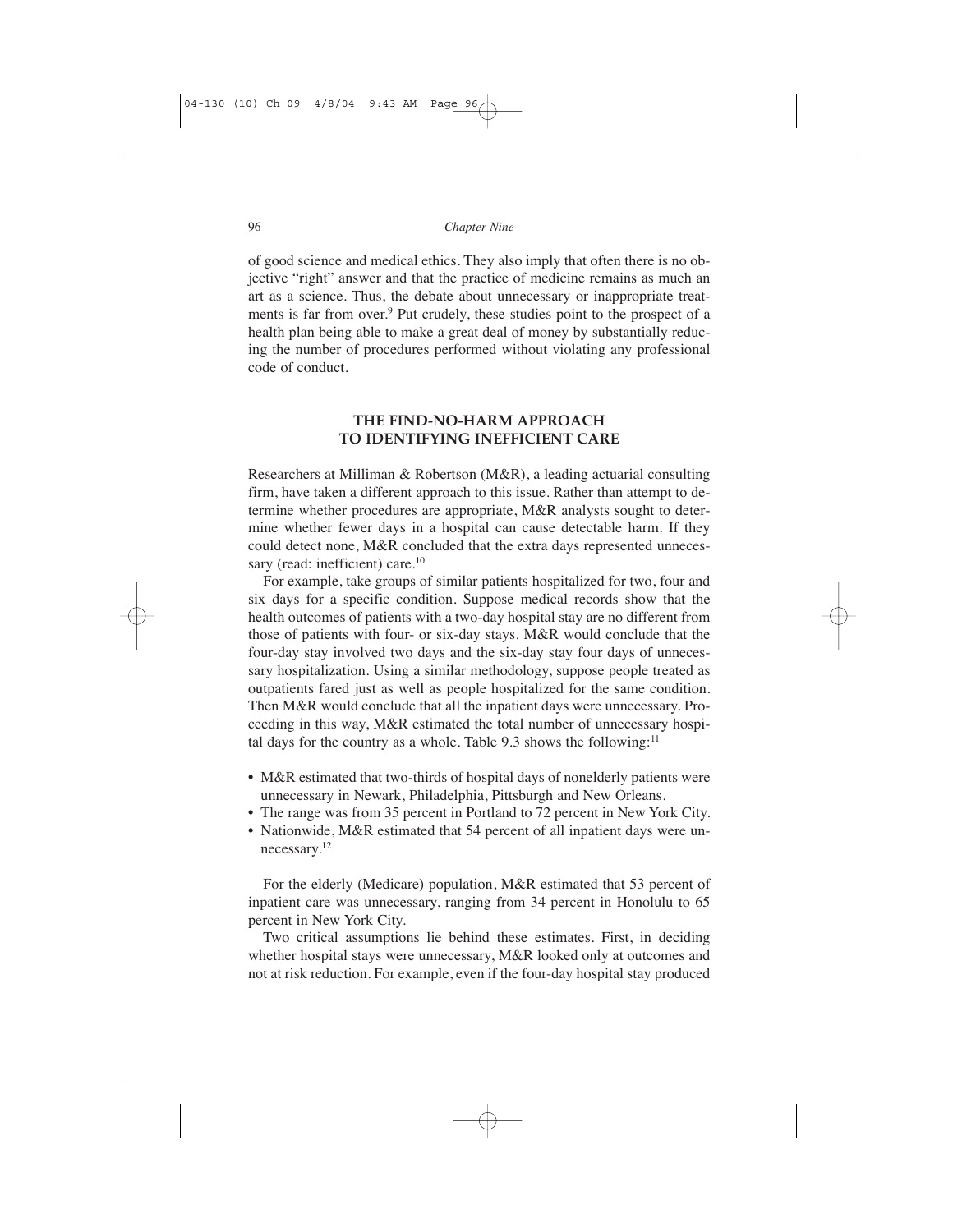of good science and medical ethics. They also imply that often there is no objective "right" answer and that the practice of medicine remains as much an art as a science. Thus, the debate about unnecessary or inappropriate treatments is far from over.<sup>9</sup> Put crudely, these studies point to the prospect of a health plan being able to make a great deal of money by substantially reducing the number of procedures performed without violating any professional code of conduct.

## **THE FIND-NO-HARM APPROACH TO IDENTIFYING INEFFICIENT CARE**

Researchers at Milliman & Robertson (M&R), a leading actuarial consulting firm, have taken a different approach to this issue. Rather than attempt to determine whether procedures are appropriate, M&R analysts sought to determine whether fewer days in a hospital can cause detectable harm. If they could detect none, M&R concluded that the extra days represented unnecessary (read: inefficient) care.<sup>10</sup>

For example, take groups of similar patients hospitalized for two, four and six days for a specific condition. Suppose medical records show that the health outcomes of patients with a two-day hospital stay are no different from those of patients with four- or six-day stays. M&R would conclude that the four-day stay involved two days and the six-day stay four days of unnecessary hospitalization. Using a similar methodology, suppose people treated as outpatients fared just as well as people hospitalized for the same condition. Then M&R would conclude that all the inpatient days were unnecessary. Proceeding in this way, M&R estimated the total number of unnecessary hospital days for the country as a whole. Table 9.3 shows the following: $11$ 

- M&R estimated that two-thirds of hospital days of nonelderly patients were unnecessary in Newark, Philadelphia, Pittsburgh and New Orleans.
- The range was from 35 percent in Portland to 72 percent in New York City.
- Nationwide, M&R estimated that 54 percent of all inpatient days were unnecessary.12

For the elderly (Medicare) population, M&R estimated that 53 percent of inpatient care was unnecessary, ranging from 34 percent in Honolulu to 65 percent in New York City.

Two critical assumptions lie behind these estimates. First, in deciding whether hospital stays were unnecessary, M&R looked only at outcomes and not at risk reduction. For example, even if the four-day hospital stay produced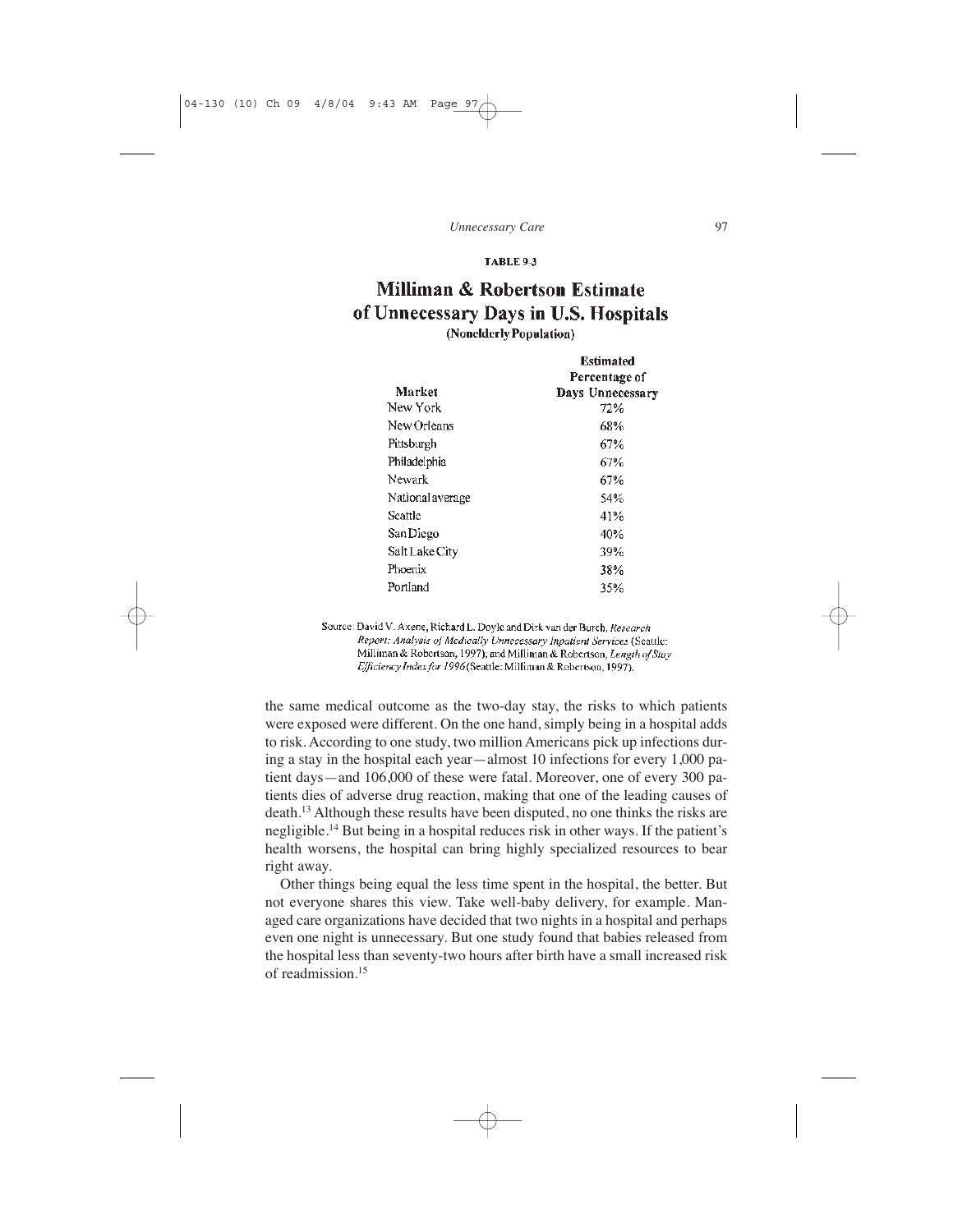#### TABLE 9-3

# **Milliman & Robertson Estimate** of Unnecessary Days in U.S. Hospitals

(Nonelderly Population)

|                  | Estimated        |  |
|------------------|------------------|--|
|                  | Percentage of    |  |
| Market           | Days Unnecessary |  |
| New York         | 72%              |  |
| New Orleans      | 68%              |  |
| Pittsburgh       | 67%              |  |
| Philadelphia     | 67%              |  |
| Newark           | 67%              |  |
| National average | 54%              |  |
| Seattle          | 41%              |  |
| San Diego        | 40%              |  |
| Salt Lake City   | 39%              |  |
| Phoenix          | 38%              |  |
| Portland         | 35%              |  |

Source: David V. Axene, Richard L. Doyle and Dirk van der Burch, Research Report: Analysis of Medically Unnecessary Inpatient Services (Scattle: Milliman & Robertson, 1997); and Milliman & Robertson, Length of Stay Efficiency Index for 1996 (Seattle: Milliman & Robertson, 1997).

the same medical outcome as the two-day stay, the risks to which patients were exposed were different. On the one hand, simply being in a hospital adds to risk. According to one study, two million Americans pick up infections during a stay in the hospital each year—almost 10 infections for every 1,000 patient days—and 106,000 of these were fatal. Moreover, one of every 300 patients dies of adverse drug reaction, making that one of the leading causes of death.13 Although these results have been disputed, no one thinks the risks are negligible.14 But being in a hospital reduces risk in other ways. If the patient's health worsens, the hospital can bring highly specialized resources to bear right away.

Other things being equal the less time spent in the hospital, the better. But not everyone shares this view. Take well-baby delivery, for example. Managed care organizations have decided that two nights in a hospital and perhaps even one night is unnecessary. But one study found that babies released from the hospital less than seventy-two hours after birth have a small increased risk of readmission.15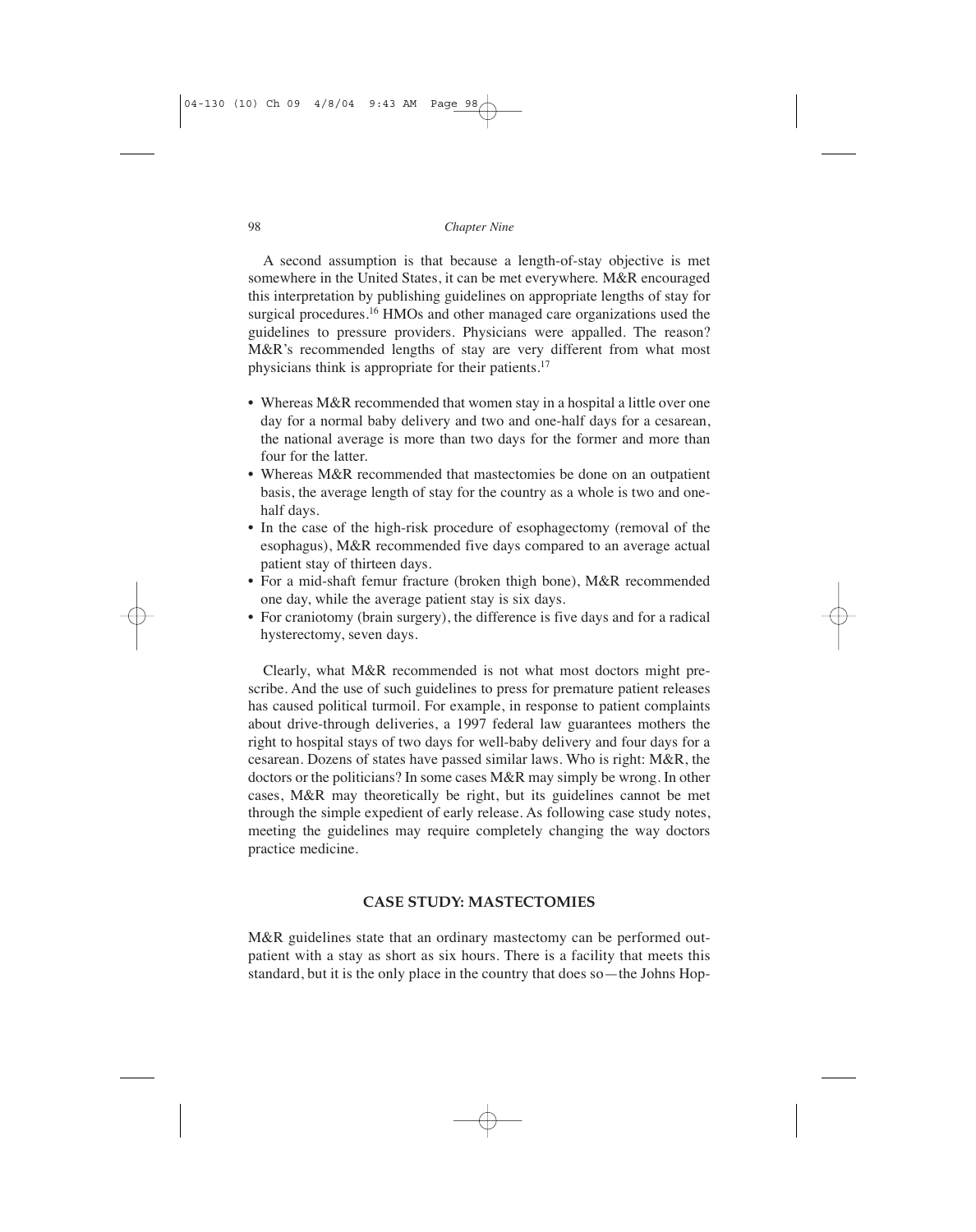A second assumption is that because a length-of-stay objective is met somewhere in the United States, it can be met everywhere*.* M&R encouraged this interpretation by publishing guidelines on appropriate lengths of stay for surgical procedures.<sup>16</sup> HMOs and other managed care organizations used the guidelines to pressure providers. Physicians were appalled. The reason? M&R's recommended lengths of stay are very different from what most physicians think is appropriate for their patients.17

- Whereas M&R recommended that women stay in a hospital a little over one day for a normal baby delivery and two and one-half days for a cesarean, the national average is more than two days for the former and more than four for the latter.
- Whereas M&R recommended that mastectomies be done on an outpatient basis, the average length of stay for the country as a whole is two and onehalf days.
- In the case of the high-risk procedure of esophagectomy (removal of the esophagus), M&R recommended five days compared to an average actual patient stay of thirteen days.
- For a mid-shaft femur fracture (broken thigh bone), M&R recommended one day, while the average patient stay is six days.
- For craniotomy (brain surgery), the difference is five days and for a radical hysterectomy, seven days.

Clearly, what M&R recommended is not what most doctors might prescribe. And the use of such guidelines to press for premature patient releases has caused political turmoil. For example, in response to patient complaints about drive-through deliveries, a 1997 federal law guarantees mothers the right to hospital stays of two days for well-baby delivery and four days for a cesarean. Dozens of states have passed similar laws. Who is right: M&R, the doctors or the politicians? In some cases M&R may simply be wrong. In other cases, M&R may theoretically be right, but its guidelines cannot be met through the simple expedient of early release. As following case study notes, meeting the guidelines may require completely changing the way doctors practice medicine.

### **CASE STUDY: MASTECTOMIES**

M&R guidelines state that an ordinary mastectomy can be performed outpatient with a stay as short as six hours. There is a facility that meets this standard, but it is the only place in the country that does so—the Johns Hop-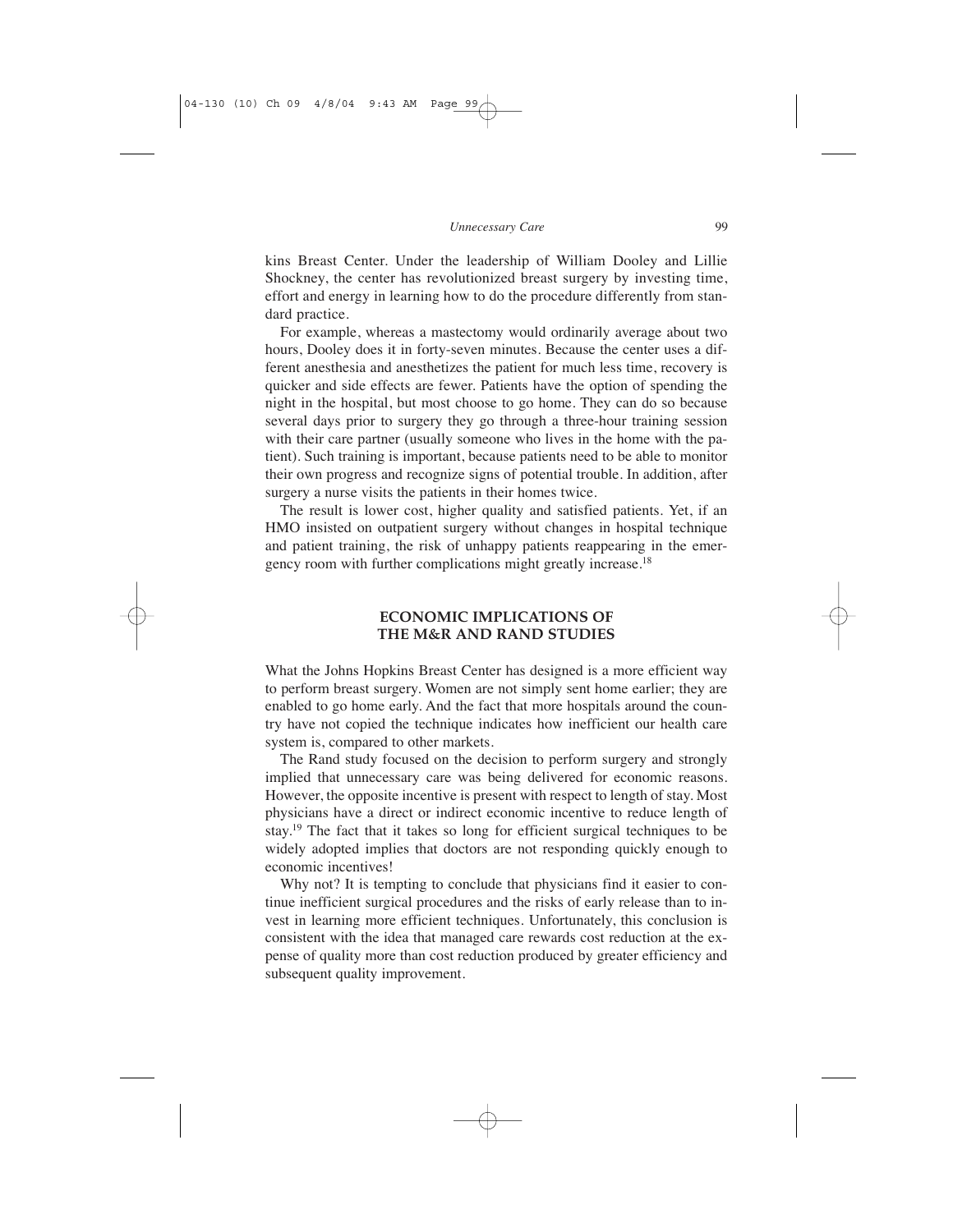kins Breast Center. Under the leadership of William Dooley and Lillie Shockney, the center has revolutionized breast surgery by investing time, effort and energy in learning how to do the procedure differently from standard practice.

For example, whereas a mastectomy would ordinarily average about two hours, Dooley does it in forty-seven minutes. Because the center uses a different anesthesia and anesthetizes the patient for much less time, recovery is quicker and side effects are fewer. Patients have the option of spending the night in the hospital, but most choose to go home. They can do so because several days prior to surgery they go through a three-hour training session with their care partner (usually someone who lives in the home with the patient). Such training is important, because patients need to be able to monitor their own progress and recognize signs of potential trouble. In addition, after surgery a nurse visits the patients in their homes twice.

The result is lower cost, higher quality and satisfied patients. Yet, if an HMO insisted on outpatient surgery without changes in hospital technique and patient training, the risk of unhappy patients reappearing in the emergency room with further complications might greatly increase.18

## **ECONOMIC IMPLICATIONS OF THE M&R AND RAND STUDIES**

What the Johns Hopkins Breast Center has designed is a more efficient way to perform breast surgery. Women are not simply sent home earlier; they are enabled to go home early. And the fact that more hospitals around the country have not copied the technique indicates how inefficient our health care system is, compared to other markets.

The Rand study focused on the decision to perform surgery and strongly implied that unnecessary care was being delivered for economic reasons. However, the opposite incentive is present with respect to length of stay. Most physicians have a direct or indirect economic incentive to reduce length of stay.19 The fact that it takes so long for efficient surgical techniques to be widely adopted implies that doctors are not responding quickly enough to economic incentives!

Why not? It is tempting to conclude that physicians find it easier to continue inefficient surgical procedures and the risks of early release than to invest in learning more efficient techniques. Unfortunately, this conclusion is consistent with the idea that managed care rewards cost reduction at the expense of quality more than cost reduction produced by greater efficiency and subsequent quality improvement.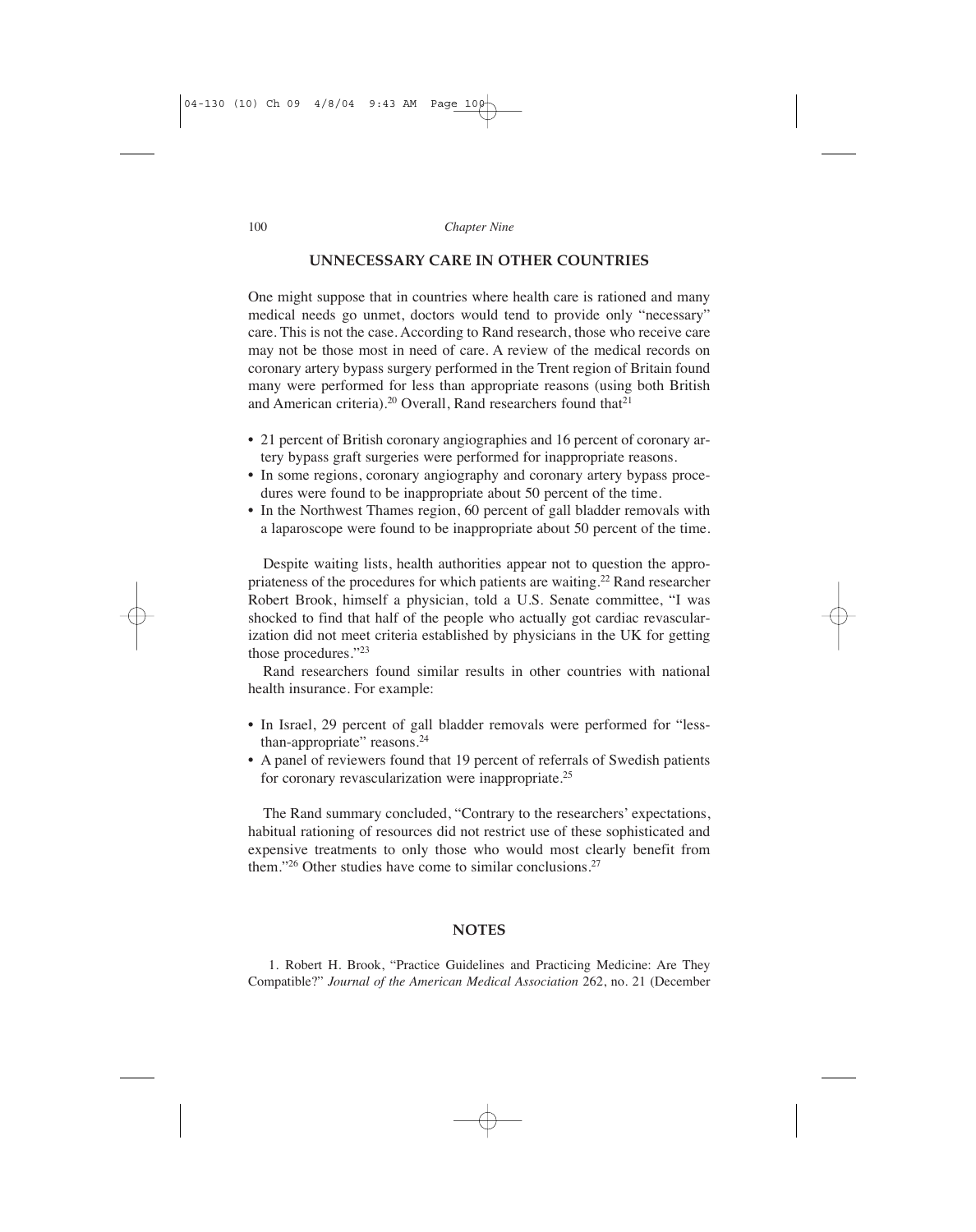## **UNNECESSARY CARE IN OTHER COUNTRIES**

One might suppose that in countries where health care is rationed and many medical needs go unmet, doctors would tend to provide only "necessary" care. This is not the case. According to Rand research, those who receive care may not be those most in need of care. A review of the medical records on coronary artery bypass surgery performed in the Trent region of Britain found many were performed for less than appropriate reasons (using both British and American criteria).<sup>20</sup> Overall, Rand researchers found that<sup>21</sup>

- 21 percent of British coronary angiographies and 16 percent of coronary artery bypass graft surgeries were performed for inappropriate reasons.
- In some regions, coronary angiography and coronary artery bypass procedures were found to be inappropriate about 50 percent of the time.
- In the Northwest Thames region, 60 percent of gall bladder removals with a laparoscope were found to be inappropriate about 50 percent of the time.

Despite waiting lists, health authorities appear not to question the appropriateness of the procedures for which patients are waiting.<sup>22</sup> Rand researcher Robert Brook, himself a physician, told a U.S. Senate committee, "I was shocked to find that half of the people who actually got cardiac revascularization did not meet criteria established by physicians in the UK for getting those procedures."23

Rand researchers found similar results in other countries with national health insurance. For example:

- In Israel, 29 percent of gall bladder removals were performed for "lessthan-appropriate" reasons.<sup>24</sup>
- A panel of reviewers found that 19 percent of referrals of Swedish patients for coronary revascularization were inappropriate.<sup>25</sup>

The Rand summary concluded, "Contrary to the researchers' expectations, habitual rationing of resources did not restrict use of these sophisticated and expensive treatments to only those who would most clearly benefit from them."<sup>26</sup> Other studies have come to similar conclusions.<sup>27</sup>

## **NOTES**

1. Robert H. Brook, "Practice Guidelines and Practicing Medicine: Are They Compatible?" *Journal of the American Medical Association* 262, no. 21 (December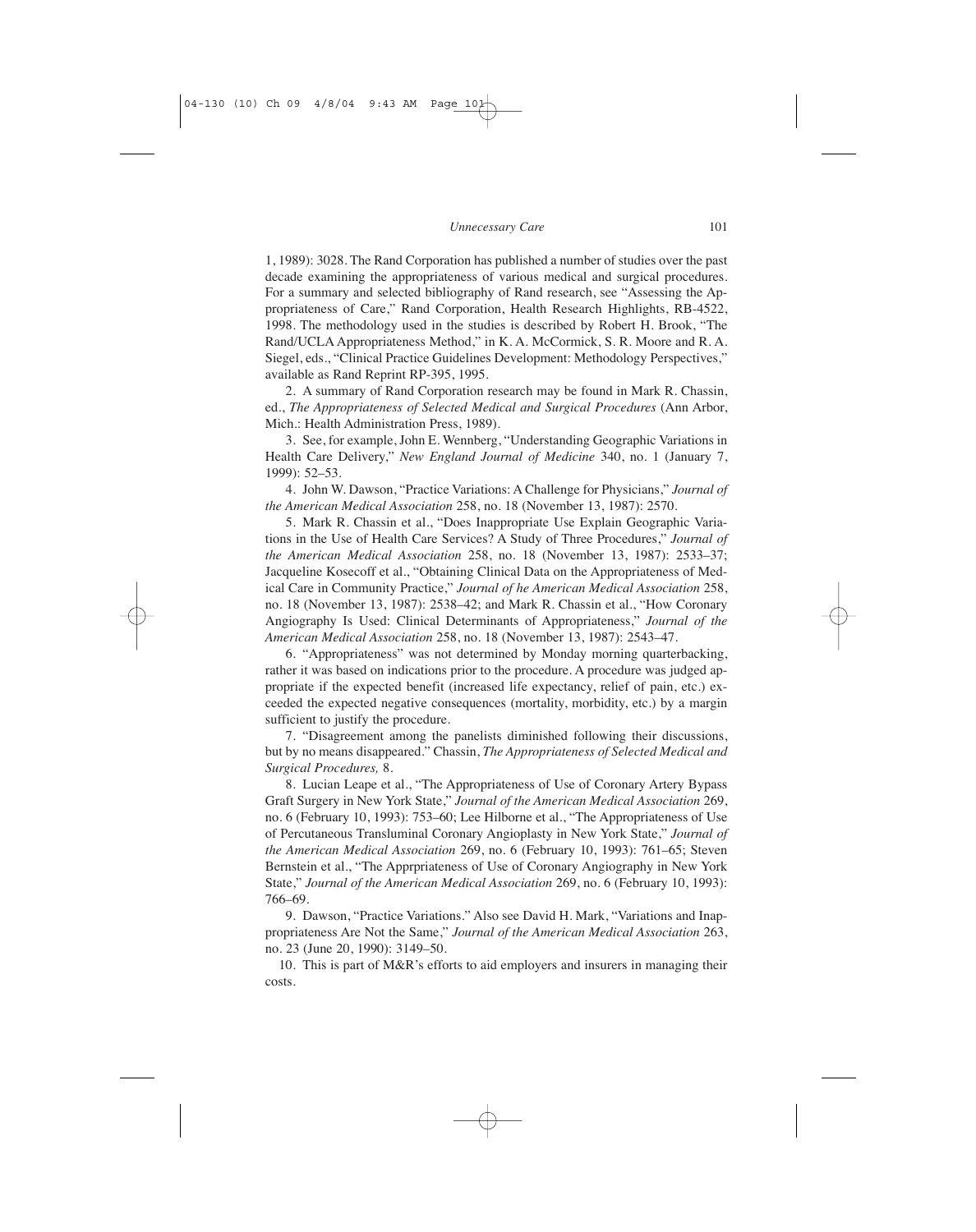1, 1989): 3028. The Rand Corporation has published a number of studies over the past decade examining the appropriateness of various medical and surgical procedures. For a summary and selected bibliography of Rand research, see "Assessing the Appropriateness of Care," Rand Corporation, Health Research Highlights, RB-4522, 1998. The methodology used in the studies is described by Robert H. Brook, "The Rand/UCLA Appropriateness Method," in K. A. McCormick, S. R. Moore and R. A. Siegel, eds., "Clinical Practice Guidelines Development: Methodology Perspectives," available as Rand Reprint RP-395, 1995.

2. A summary of Rand Corporation research may be found in Mark R. Chassin, ed., *The Appropriateness of Selected Medical and Surgical Procedures* (Ann Arbor, Mich.: Health Administration Press, 1989).

3. See, for example, John E. Wennberg, "Understanding Geographic Variations in Health Care Delivery," *New England Journal of Medicine* 340, no. 1 (January 7, 1999): 52–53.

4. John W. Dawson, "Practice Variations: A Challenge for Physicians," *Journal of the American Medical Association* 258, no. 18 (November 13, 1987): 2570.

5. Mark R. Chassin et al., "Does Inappropriate Use Explain Geographic Variations in the Use of Health Care Services? A Study of Three Procedures," *Journal of the American Medical Association* 258, no. 18 (November 13, 1987): 2533–37; Jacqueline Kosecoff et al., "Obtaining Clinical Data on the Appropriateness of Medical Care in Community Practice," *Journal of he American Medical Association* 258, no. 18 (November 13, 1987): 2538–42; and Mark R. Chassin et al., "How Coronary Angiography Is Used: Clinical Determinants of Appropriateness," *Journal of the American Medical Association* 258, no. 18 (November 13, 1987): 2543–47.

6. "Appropriateness" was not determined by Monday morning quarterbacking, rather it was based on indications prior to the procedure. A procedure was judged appropriate if the expected benefit (increased life expectancy, relief of pain, etc.) exceeded the expected negative consequences (mortality, morbidity, etc.) by a margin sufficient to justify the procedure.

7. "Disagreement among the panelists diminished following their discussions, but by no means disappeared." Chassin, *The Appropriateness of Selected Medical and Surgical Procedures,* 8.

8. Lucian Leape et al., "The Appropriateness of Use of Coronary Artery Bypass Graft Surgery in New York State," *Journal of the American Medical Association* 269, no. 6 (February 10, 1993): 753–60; Lee Hilborne et al., "The Appropriateness of Use of Percutaneous Transluminal Coronary Angioplasty in New York State," *Journal of the American Medical Association* 269, no. 6 (February 10, 1993): 761–65; Steven Bernstein et al., "The Apprpriateness of Use of Coronary Angiography in New York State," *Journal of the American Medical Association* 269, no. 6 (February 10, 1993): 766–69.

9. Dawson, "Practice Variations." Also see David H. Mark, "Variations and Inappropriateness Are Not the Same," *Journal of the American Medical Association* 263, no. 23 (June 20, 1990): 3149–50.

10. This is part of M&R's efforts to aid employers and insurers in managing their costs.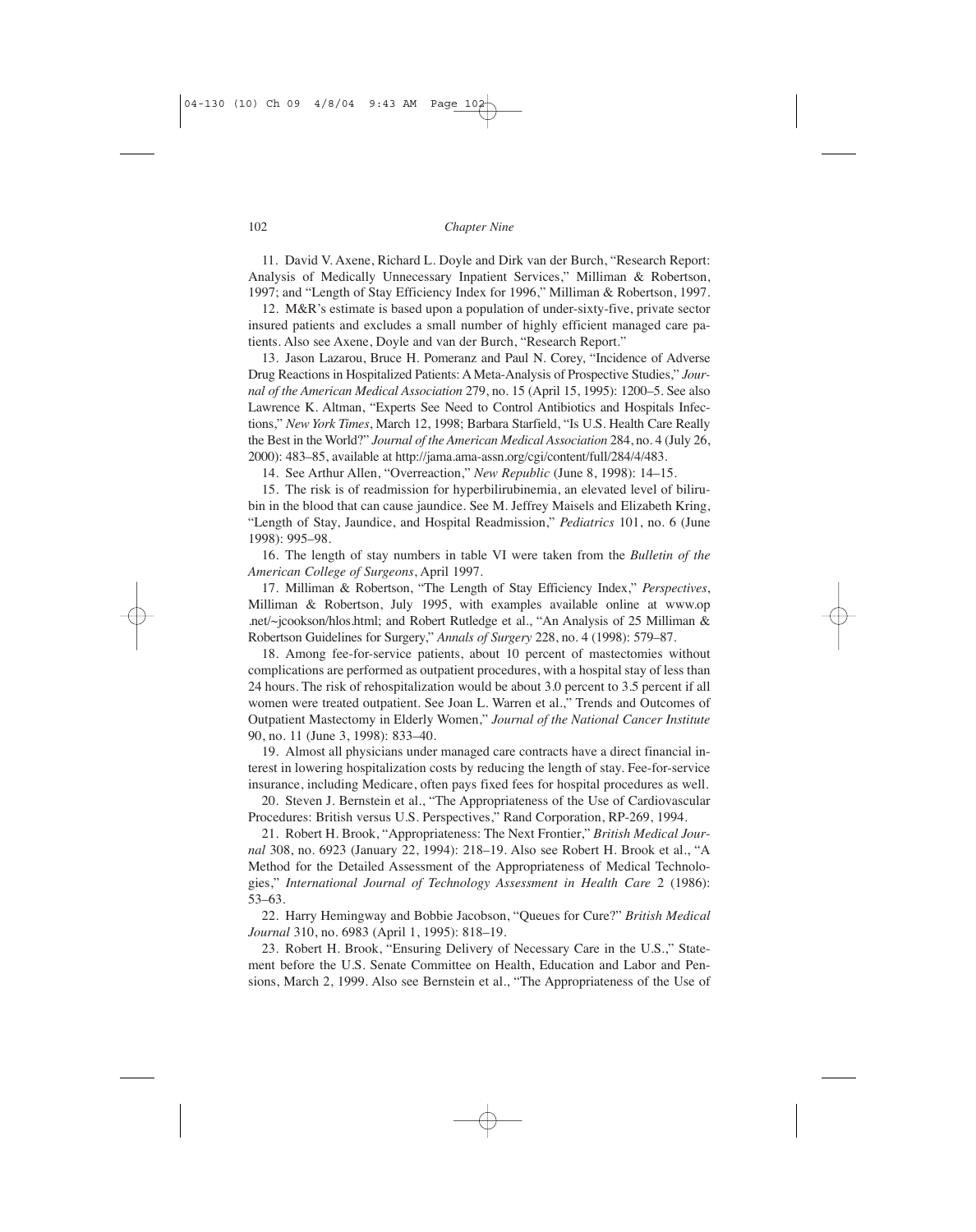11. David V. Axene, Richard L. Doyle and Dirk van der Burch, "Research Report: Analysis of Medically Unnecessary Inpatient Services," Milliman & Robertson, 1997; and "Length of Stay Efficiency Index for 1996," Milliman & Robertson, 1997.

12. M&R's estimate is based upon a population of under-sixty-five, private sector insured patients and excludes a small number of highly efficient managed care patients. Also see Axene, Doyle and van der Burch, "Research Report."

13. Jason Lazarou, Bruce H. Pomeranz and Paul N. Corey, "Incidence of Adverse Drug Reactions in Hospitalized Patients: A Meta-Analysis of Prospective Studies," *Journal of the American Medical Association* 279, no. 15 (April 15, 1995): 1200–5. See also Lawrence K. Altman, "Experts See Need to Control Antibiotics and Hospitals Infections," *New York Times*, March 12, 1998; Barbara Starfield, "Is U.S. Health Care Really the Best in the World?" *Journal of the American Medical Association* 284, no. 4 (July 26, 2000): 483–85, available at http://jama.ama-assn.org/cgi/content/full/284/4/483.

14. See Arthur Allen, "Overreaction," *New Republic* (June 8, 1998): 14–15.

15. The risk is of readmission for hyperbilirubinemia, an elevated level of bilirubin in the blood that can cause jaundice. See M. Jeffrey Maisels and Elizabeth Kring, "Length of Stay, Jaundice, and Hospital Readmission," *Pediatrics* 101, no. 6 (June 1998): 995–98.

16. The length of stay numbers in table VI were taken from the *Bulletin of the American College of Surgeons*, April 1997.

17. Milliman & Robertson, "The Length of Stay Efficiency Index," *Perspectives*, Milliman & Robertson, July 1995, with examples available online at www.op .net/~jcookson/hlos.html; and Robert Rutledge et al., "An Analysis of 25 Milliman & Robertson Guidelines for Surgery," *Annals of Surgery* 228, no. 4 (1998): 579–87.

18. Among fee-for-service patients, about 10 percent of mastectomies without complications are performed as outpatient procedures, with a hospital stay of less than 24 hours. The risk of rehospitalization would be about 3.0 percent to 3.5 percent if all women were treated outpatient. See Joan L. Warren et al.," Trends and Outcomes of Outpatient Mastectomy in Elderly Women," *Journal of the National Cancer Institute* 90, no. 11 (June 3, 1998): 833–40.

19. Almost all physicians under managed care contracts have a direct financial interest in lowering hospitalization costs by reducing the length of stay. Fee-for-service insurance, including Medicare, often pays fixed fees for hospital procedures as well.

20. Steven J. Bernstein et al., "The Appropriateness of the Use of Cardiovascular Procedures: British versus U.S. Perspectives," Rand Corporation, RP-269, 1994.

21. Robert H. Brook, "Appropriateness: The Next Frontier," *British Medical Journal* 308, no. 6923 (January 22, 1994): 218–19. Also see Robert H. Brook et al., "A Method for the Detailed Assessment of the Appropriateness of Medical Technologies," *International Journal of Technology Assessment in Health Care* 2 (1986): 53–63.

22. Harry Hemingway and Bobbie Jacobson, "Queues for Cure?" *British Medical Journal* 310, no. 6983 (April 1, 1995): 818–19.

23. Robert H. Brook, "Ensuring Delivery of Necessary Care in the U.S.," Statement before the U.S. Senate Committee on Health, Education and Labor and Pensions, March 2, 1999. Also see Bernstein et al., "The Appropriateness of the Use of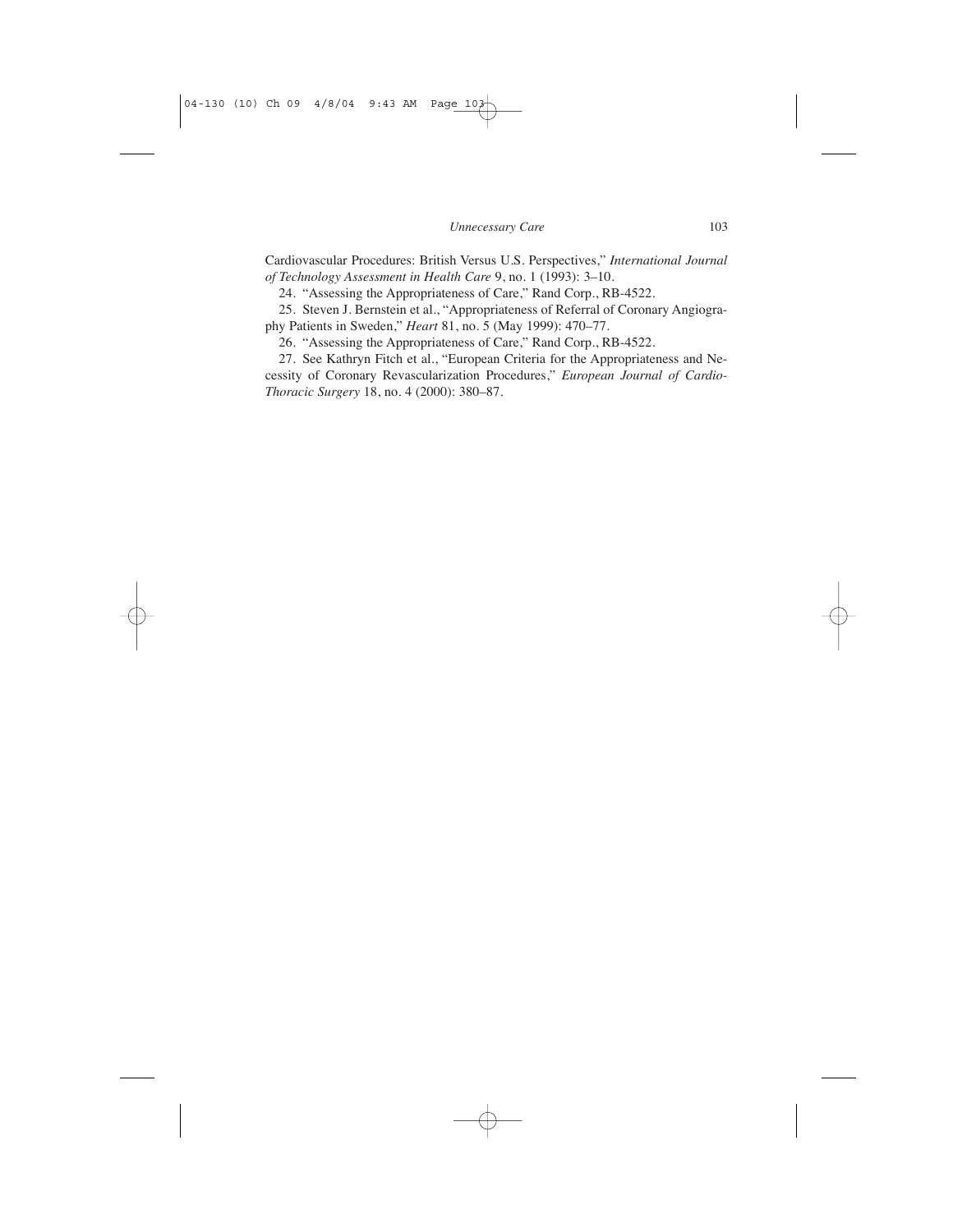Cardiovascular Procedures: British Versus U.S. Perspectives," *International Journal of Technology Assessment in Health Care* 9, no. 1 (1993): 3–10.

24. "Assessing the Appropriateness of Care," Rand Corp., RB-4522.

25. Steven J. Bernstein et al., "Appropriateness of Referral of Coronary Angiography Patients in Sweden," *Heart* 81, no. 5 (May 1999): 470–77.

26. "Assessing the Appropriateness of Care," Rand Corp., RB-4522.

27. See Kathryn Fitch et al., "European Criteria for the Appropriateness and Necessity of Coronary Revascularization Procedures," *European Journal of Cardio-Thoracic Surgery* 18, no. 4 (2000): 380–87.